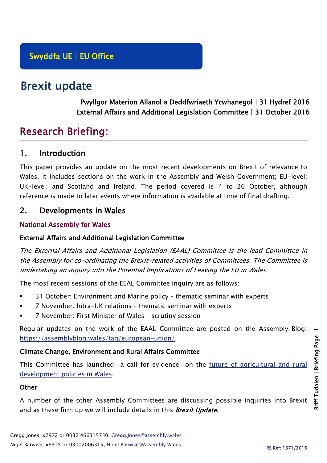# Brexit update

Pwyllgor Materion Allanol a Deddfwriaeth Ycwhanegol | 31 Hydref 2016 External Affairs and Additional Legislation Committee | 31 October 2016

# Research Briefing:

# 1. Introduction

This paper provides an update on the most recent developments on Brexit of relevance to Wales. It includes sections on the work in the Assembly and Welsh Government; EU-level; UK-level; and Scotland and Ireland. The period covered is 4 to 26 October, although reference is made to later events where information is available at time of final drafting.

# 2. Developments in Wales

## National Assembly for Wales

## External Affairs and Additional Legislation Committee

The External Affairs and Additional Legislation (EAAL) Committee is the lead Committee in the Assembly for co-ordinating the Brexit-related activities of Committees. The Committee is undertaking an inquiry into the Potential Implications of Leaving the EU in Wales.

The most recent sessions of the EEAL Committee inquiry are as follows:

- 31 October: Environment and Marine policy thematic seminar with experts
- 7 November: Intra-UK relations thematic seminar with experts
- 7 November: First Minister of Wales scrutiny session

Regular updates on the work of the EAAL Committee are posted on the Assembly Blog: [https://assemblyblog.wales/tag/european-union/.](https://assemblyblog.wales/tag/european-union/)

## Climate Change, Environment and Rural Affairs Committee

This Committee has launched a call for evidence on the future of agricultural and rural [development policies in Wales.](http://www.senedd.assembly.wales/mgIssueHistoryHome.aspx?IId=15876)

#### **Other**

A number of the other Assembly Committees are discussing possible inquiries into Brexit and as these firm up we will include details in this **Brexit Update**.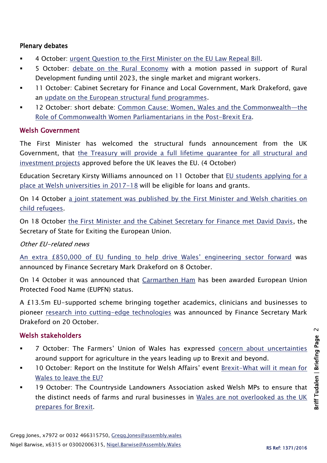### Plenary debates

- 4 October: [urgent Question to the First Minister on the EU Law Repeal Bill.](http://www.assembly.wales/en/bus-home/pages/rop.aspx?meetingid=3994&assembly=5&c=Record%20of%20Proceedings#427361)
- 5 October: [debate on the Rural Economy](http://www.assembly.wales/en/bus-home/pages/rop.aspx?meetingid=3995&assembly=5&c=Record%20of%20Proceedings#428810) with a motion passed in support of Rural Development funding until 2023, the single market and migrant workers.
- 11 October: Cabinet Secretary for Finance and Local Government, Mark Drakeford, gave an [update on the European structural fund programmes.](http://www.assembly.wales/en/bus-home/pages/rop.aspx?meetingid=3996&assembly=5&c=Record%20of%20Proceedings#432005)
- 12 October: short debate: [Common Cause: Women, Wales and the Commonwealth](http://www.assembly.wales/en/bus-home/pages/rop.aspx?meetingid=3997&assembly=5&c=Record%20of%20Proceedings#430635)—the [Role of Commonwealth Women Parliamentarians in the Post-Brexit Era.](http://www.assembly.wales/en/bus-home/pages/rop.aspx?meetingid=3997&assembly=5&c=Record%20of%20Proceedings#430635)

### Welsh Government

The First Minister has welcomed the structural funds announcement from the UK Government, that [the Treasury will provide a full lifetime guarantee for all structural and](http://gov.wales/newsroom/firstminister/2016/58646153/?lang=en)  [investment projects](http://gov.wales/newsroom/firstminister/2016/58646153/?lang=en) approved before the UK leaves the EU. (4 October)

Education Secretary Kirsty Williams announced on 11 October that [EU students applying for a](http://gov.wales/newsroom/educationandskills/2016/eu-student-funding-guarantee-for-welsh-universities-extended/?lang=en)  [place at Welsh universities in 2017-18](http://gov.wales/newsroom/educationandskills/2016/eu-student-funding-guarantee-for-welsh-universities-extended/?lang=en) will be eligible for loans and grants.

On 14 October a joint statement was published by [the First Minister and Welsh charities on](http://gov.wales/newsroom/firstminister/2016/58670025/?lang=en)  [child refugees.](http://gov.wales/newsroom/firstminister/2016/58670025/?lang=en)

On 18 October [the First Minister and the Cabinet Secretary for Finance met David Davis,](http://gov.wales/newsroom/firstminister/2016/161018sosexeu/?lang=en) the Secretary of State for Exiting the European Union.

#### Other EU-related news

[An extra £850,000 of EU funding to help drive Wales' engineering sector forward](http://gov.wales/newsroom/finance1/2016/58663154/?lang=en) was announced by Finance Secretary Mark Drakeford on 8 October.

On 14 October it was announced that [Carmarthen Ham](http://gov.wales/newsroom/environmentandcountryside/2016/161014-crackling-result-for-iconic-welsh-product/?lang=en) has been awarded European Union Protected Food Name (EUPFN) status.

A £13.5m EU-supported scheme bringing together academics, clinicians and businesses to pioneer [research into cutting-edge technologies](http://gov.wales/newsroom/finance1/2016/58680415/?lang=en) was announced by Finance Secretary Mark Drakeford on 20 October.

## Welsh stakeholders

- 7 October: The Farmers' Union of Wales has expressed [concern about uncertainties](http://fuw.org.uk/fuw-demands-considered-transition/) around support for agriculture in the years leading up to Brexit and beyond.
- 10 October: Report on the Institute for Welsh Affairs' event [Brexit-What will it mean for](http://www.iwa.wales/wp-content/uploads/2016/10/BREXITdebate.pdf)  [Wales to leave the EU?](http://www.iwa.wales/wp-content/uploads/2016/10/BREXITdebate.pdf)
- 19 October: The Countryside Landowners Association asked Welsh MPs to ensure that the distinct needs of farms and rural businesses in [Wales are not overlooked as the UK](http://www.cla.org.uk/your-area/wales/cla-cymru-news/politicians-discuss-future-rural-wales-post-brexit)  [prepares for Brexit.](http://www.cla.org.uk/your-area/wales/cla-cymru-news/politicians-discuss-future-rural-wales-post-brexit)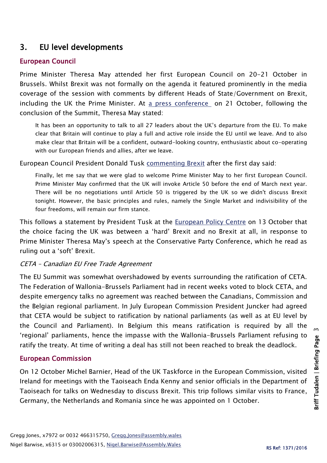# 3. EU level developments

# European Council

Prime Minister Theresa May attended her first European Council on 20-21 October in Brussels. Whilst Brexit was not formally on the agenda it featured prominently in the media coverage of the session with comments by different Heads of State/Government on Brexit, including the UK the Prime Minister. At [a press conference](https://www.gov.uk/government/speeches/european-council-october-2016-prime-ministers-press-statement) on 21 October, following the conclusion of the Summit, Theresa May stated:

It has been an opportunity to talk to all 27 leaders about the UK's departure from the EU. To make clear that Britain will continue to play a full and active role inside the EU until we leave. And to also make clear that Britain will be a confident, outward-looking country, enthusiastic about co-operating with our European friends and allies, after we leave.

European Council President Donald Tusk [commenting](http://www.consilium.europa.eu/en/press/press-releases/2016/10/20-tusk-remarks-press-conference/) Brexit after the first day said:

Finally, let me say that we were glad to welcome Prime Minister May to her first European Council. Prime Minister May confirmed that the UK will invoke Article 50 before the end of March next year. There will be no negotiations until Article 50 is triggered by the UK so we didn't discuss Brexit tonight. However, the basic principles and rules, namely the Single Market and indivisibility of the four freedoms, will remain our firm stance.

This follows a statement by President Tusk at the [European Policy Centre](http://www.consilium.europa.eu/en/press/press-releases/2016/10/13-tusk-speech-epc/) on 13 October that the choice facing the UK was between a 'hard' Brexit and no Brexit at all, in response to Prime Minister Theresa May's speech at the Conservative Party Conference, which he read as ruling out a 'soft' Brexit.

## CETA – Canadian EU Free Trade Agreement

The EU Summit was somewhat overshadowed by events surrounding the ratification of CETA. The Federation of Wallonia-Brussels Parliament had in recent weeks voted to block CETA, and despite emergency talks no agreement was reached between the Canadians, Commission and the Belgian regional parliament. In July European Commission President Juncker had agreed that CETA would be subject to ratification by national parliaments (as well as at EU level by the Council and Parliament). In Belgium this means ratification is required by all the 'regional' parliaments, hence the impasse with the Wallonia-Brussels Parliament refusing to ratify the treaty. At time of writing a deal has still not been reached to break the deadlock.

# European Commission

On 12 October Michel Barnier, Head of the UK Taskforce in the European Commission, visited Ireland for meetings with the Taoiseach Enda Kenny and senior officials in the Department of Taoiseach for talks on Wednesday to discuss Brexit. This trip follows similar visits to France, Germany, the Netherlands and Romania since he was appointed on 1 October.

 $\sim$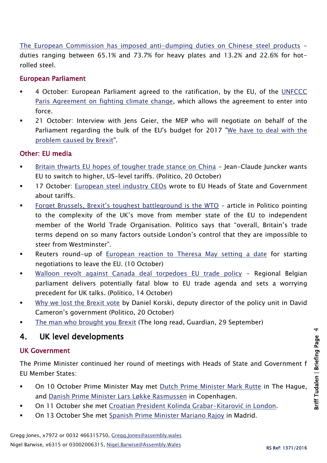[The European Commission has imposed anti-dumping duties on Chinese steel products](http://europa.eu/rapid/press-release_IP-16-3328_en.htm) duties ranging between 65.1% and 73.7% for heavy plates and 13.2% and 22.6% for hotrolled steel.

## European Parliament

- 4 October: European Parliament agreed to the ratification, by the EU, of the UNFCCC [Paris Agreement on fighting climate change,](http://www.europarl.europa.eu/news/en/news-room/20160930IPR44535/meps%E2%80%99-green-light-for-paris-climate-agreement-to-trigger-its-entry-into-force) which allows the agreement to enter into force.
- 21 October: Interview with Jens Geier, the MEP who will negotiate on behalf of the Parliament regarding the bulk of the EU's budget for 2017 ["We have to deal with the](http://www.europarl.europa.eu/news/en/news-room/20161014STO47383/eu-budget-we-have-to-deal-with-the-problem-caused-by-brexit)  [problem caused by Brexit"](http://www.europarl.europa.eu/news/en/news-room/20161014STO47383/eu-budget-we-have-to-deal-with-the-problem-caused-by-brexit).

### Other: EU media

- [Britain thwarts EU hopes of tougher trade stance on China](http://www.politico.eu/pro/britain-thwarts-eu-hopes-tougher-trade-stance-china-jean-claude-juncker/) Jean-Claude Juncker wants EU to switch to higher, US-level tariffs. (Politico, 20 October)
- 17 October: [European steel industry](http://www.eurofer.eu/News%26Events/Press%20releases/OPEN%20LETTER%2058%20European%20steel%20industry%20.fhtml) CEOs wrote to EU Heads of State and Government about tariffs.
- [Forget Brussels, Brexit's toughest battleground is the WTO](file:///C:/Users/jonesg6/AppData/Local/Microsoft/Windows/Temporary%20Internet%20Files/Content.Outlook/STA5GEAG/overall,%20Britain’s%20trade%20terms%20depend%20on%20so%20many%20factors%20outside%20London’s%20control%20that%20they%20are%20impossible%20to%20steer%20from%20Westminster) article in Politico pointing to the complexity of the UK's move from member state of the EU to independent member of the World Trade Organisation. Politico says that "overall, Britain's trade terms depend on so many factors outside London's control that they are impossible to steer from Westminster".
- Reuters round-up of [European reaction to Theresa May setting a date](http://www.reuters.com/article/us-britain-eu-europeans-idUSKCN12A0EX?feedType=RSS&feedName=topNews&utm_source=twitter&utm_medium=Social) for starting negotiations to leave the EU. (10 October)
- [Walloon revolt against Canada deal torpedoes EU trade policy](http://www.politico.eu/article/belgian-regional-government-set-to-block-eu-canada-trade-deal/) Regional Belgian parliament delivers potentially fatal blow to EU trade agenda and sets a worrying precedent for UK talks. (Politico, 14 October)
- [Why we lost the Brexit vote](http://www.politico.eu/article/why-we-lost-the-brexit-vote-former-uk-prime-minister-david-cameron/) by Daniel Korski, deputy director of the policy unit in David Cameron's government (Politico, 20 October)
- [The man who brought you Brexit](https://www.theguardian.com/politics/2016/sep/29/daniel-hannan-the-man-who-brought-you-brexit) (The long read, Guardian, 29 September)

# 4. UK level developments

#### UK Government

The Prime Minister continued her round of meetings with Heads of State and Government f EU Member States:

- On 10 October Prime Minister May met [Dutch Prime Minister Mark Rutte](http://www.politico.eu/article/the-netherlands-mark-rutte-tries-to-keep-a-lid-on-nexit-brexit-eu-jan-roos-geert-wilders/) in The Hague, and [Danish Prime Minister Lars Løkke Rasmussen](https://www.gov.uk/government/speeches/pm-statement-in-copenhagen-10-october-2016) in Copenhagen.
- On 11 October she met [Croatian President Kolinda Grabar-Kitarovi](https://www.gov.uk/government/news/pm-meeting-with-president-kolinda-grabar-kitarovic-11-october-2016)ć in London.
- On 13 October She met [Spanish Prime Minister Mariano Rajoy](https://www.gov.uk/government/news/pm-meeting-with-prime-minister-rajoy-of-spain-13-october-2016) in Madrid.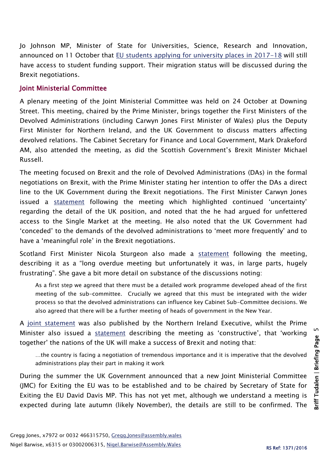Jo Johnson MP, Minister of State for Universities, Science, Research and Innovation, announced on 11 October that EU [students applying for university places in 2017-18](https://www.gov.uk/government/news/funding-support-for-eu-students) will still have access to student funding support. Their migration status will be discussed during the Brexit negotiations.

#### Joint Ministerial Committee

A plenary meeting of the Joint Ministerial Committee was held on 24 October at Downing Street. This meeting, chaired by the Prime Minister, brings together the First Ministers of the Devolved Administrations (including Carwyn Jones First Minister of Wales) plus the Deputy First Minister for Northern Ireland, and the UK Government to discuss matters affecting devolved relations. The Cabinet Secretary for Finance and Local Government, Mark Drakeford AM, also attended the meeting, as did the Scottish Government's Brexit Minister Michael Russell.

The meeting focused on Brexit and the role of Devolved Administrations (DAs) in the formal negotiations on Brexit, with the Prime Minister stating her intention to offer the DAs a direct line to the UK Government during the Brexit negotiations. The First Minister Carwyn Jones issued a [statement](http://gov.wales/newsroom/firstminister/2016/161024jmc/?lang=en) following the meeting which highlighted continued 'uncertainty' regarding the detail of the UK position, and noted that the he had argued for unfettered access to the Single Market at the meeting. He also noted that the UK Government had 'conceded' to the demands of the devolved administrations to 'meet more frequently' and to have a 'meaningful role' in the Brexit negotiations.

Scotland First Minister Nicola Sturgeon also made a [statement](https://firstminister.gov.scot/joint-ministerial-committee-on-eu-referendum/) following the meeting, describing it as a "long overdue meeting but unfortunately it was, in large parts, hugely frustrating". She gave a bit more detail on substance of the discussions noting:

As a first step we agreed that there must be a detailed work programme developed ahead of the first meeting of the sub-committee. Crucially we agreed that this must be integrated with the wider process so that the devolved administrations can influence key Cabinet Sub-Committee decisions. We also agreed that there will be a further meeting of heads of government in the New Year.

A [joint statement](https://www.executiveoffice-ni.gov.uk/news/foster-and-mcguinness-comment-following-joint-ministerial-committee-meeting) was also published by the Northern Ireland Executive, whilst the Prime Minister also issued a [statement](https://www.gov.uk/government/news/joint-ministerial-committee-24-october-2016-statement) describing the meeting as 'constructive', that 'working together' the nations of the UK will make a success of Brexit and noting that:

…the country is facing a negotiation of tremendous importance and it is imperative that the devolved administrations play their part in making it work

During the summer the UK Government announced that a new Joint Ministerial Committee (JMC) for Exiting the EU was to be established and to be chaired by Secretary of State for Exiting the EU David Davis MP. This has not yet met, although we understand a meeting is expected during late autumn (likely November), the details are still to be confirmed. The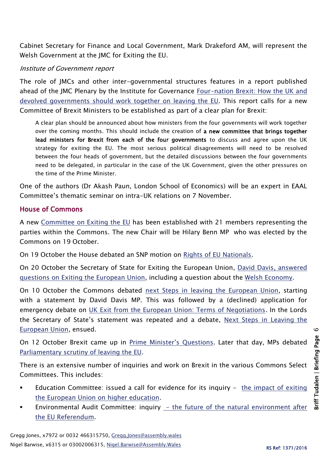Cabinet Secretary for Finance and Local Government, Mark Drakeford AM, will represent the Welsh Government at the JMC for Exiting the EU.

### Institute of Government report

The role of JMCs and other inter-governmental structures features in a report published ahead of the JMC Plenary by the Institute for Governance [Four-nation Brexit: How the UK and](http://www.instituteforgovernment.org.uk/sites/default/files/publications/IfG_four%20nation_Brexit_briefing_v6.pdf)  [devolved governments should work](http://www.instituteforgovernment.org.uk/sites/default/files/publications/IfG_four%20nation_Brexit_briefing_v6.pdf) together on leaving the EU. This report calls for a new Committee of Brexit Ministers to be established as part of a clear plan for Brexit:

A clear plan should be announced about how ministers from the four governments will work together over the coming months. This should include the creation of a new committee that brings together lead ministers for Brexit from each of the four governments to discuss and agree upon the UK strategy for exiting the EU. The most serious political disagreements will need to be resolved between the four heads of government, but the detailed discussions between the four governments need to be delegated, in particular in the case of the UK Government, given the other pressures on the time of the Prime Minister.

One of the authors (Dr Akash Paun, London School of Economics) will be an expert in EAAL Committee's thematic seminar on intra-UK relations on 7 November.

#### House of Commons

A new [Committee on Exiting the EU](http://www.parliament.uk/business/committees/committees-a-z/commons-select/exiting-the-european-union-committee/) has been established with 21 members representing the parties within the Commons. The new Chair will be Hilary Benn MP who was elected by the Commons on 19 October.

On 19 October the House debated an SNP motion on [Rights of EU Nationals.](https://hansard.parliament.uk/commons/2016-10-19/debates/F1337420-EBD9-413C-949B-A4AEA0832B2C/RightsOfEUNationals)

On 20 October the Secretary of State for Exiting the European Union, [David Davis, answered](https://hansard.parliament.uk/commons/2016-10-20)  [questions on Exiting the European Union,](https://hansard.parliament.uk/commons/2016-10-20) including a question about the [Welsh Economy.](https://hansard.parliament.uk/commons/2016-10-20/debates/00BD4DE1-4B97-4FD5-9274-DC5BED25E557/WelshEconomy)

On 10 October the Commons debated [next Steps in leaving the European Union,](https://hansard.parliament.uk/commons/2016-10-10/debates/6CE5F6BB-3AA4-4332-BF7A-577DB35BDB77/NextStepsInLeavingTheEuropeanUnion) starting with a statement by David Davis MP. This was followed by a (declined) application for emergency debate on [UK Exit from the European Union: Terms of Negotiations.](https://hansard.parliament.uk/commons/2016-10-10/debates/A700D7D2-FCEB-41DA-AC8B-C5290C1F5E41/UKExitFromTheEuropeanUnionTermsOfNegotiations) In the Lords the Secretary of State's statement was repeated and a debate, Next Steps in Leaving the [European Union,](https://hansard.parliament.uk/Lords/2016-10-10/debates/1DFDD612-870B-428E-9186-A64DB51C17F5/NextStepsInLeavingTheEuropeanUnion) ensued.

On 12 October Brexit came up in [Prime Minister's Questions](https://hansard.parliament.uk/commons/2016-10-12/debates/F5458E75-8057-4096-8E33-775608132B19/EconomyPublicServicesWestMidlands). Later that day, MPs debated [Parliamentary scrutiny of leaving the EU.](https://hansard.parliament.uk/commons/2016-10-12/debates/F327EC64-3777-4D40-A98D-BEC2E11763A2/ParliamentaryScrutinyOfLeavingTheEU)

There is an extensive number of inquiries and work on Brexit in the various Commons Select Committees. This includes:

- Education Committee: issued a call for evidence for its inquiry  $-$  the impact of exiting [the European Union on higher education.](http://www.parliament.uk/business/committees/committees-a-z/commons-select/education-committee/inquiries/parliament-2015/brexit-impact-higher-education-16-17/)
- Environmental Audit Committee: inquiry [the future of the natural environment after](http://www.parliament.uk/business/committees/committees-a-z/commons-select/environmental-audit-committee/inquiries/parliament-2015/future-of-the-natural-environment-after-the-eu-referendum-16-17/)  [the EU Referendum.](http://www.parliament.uk/business/committees/committees-a-z/commons-select/environmental-audit-committee/inquiries/parliament-2015/future-of-the-natural-environment-after-the-eu-referendum-16-17/)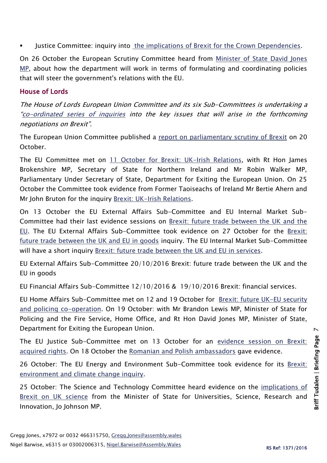Justice Committee: inquiry into the [implications of Brexit for the Crown Dependencies.](http://www.parliament.uk/business/committees/committees-a-z/commons-select/justice-committee/inquiries/parliament-2015/implications-of-brexit-for-the-crown-dependencies-16-17/)

On 26 October the European Scrutiny Committee heard from [Minister of State David Jones](http://www.parliament.uk/business/committees/committees-a-z/commons-select/european-scrutiny-committee/news-parliament-20151/eu-brexit-relations-evidence-16-17/)  [MP,](http://www.parliament.uk/business/committees/committees-a-z/commons-select/european-scrutiny-committee/news-parliament-20151/eu-brexit-relations-evidence-16-17/) about how the department will work in terms of formulating and coordinating policies that will steer the government's relations with the EU.

### House of Lords

The House of Lords European Union Committee and its six Sub-Committees is undertaking a "[co-ordinated series of inquiries](http://www.parliament.uk/business/committees/committees-a-z/lords-select/eu-select-committee-/news-parliament-2015/co-ordinated-inquries-launch/) into the key issues that will arise in the forthcoming negotiations on Brexit".

The European Union Committee published a [report on parliamentary scrutiny of Brexit](file:///C:/Users/jonesg6/AppData/Local/Microsoft/Windows/Temporary%20Internet%20Files/Content.Outlook/STA5GEAG/4th%20Report%20of%20Session%202016-17) on 20 October.

The EU Committee met on [11 October for Brexit: UK-Irish Relations,](http://data.parliament.uk/writtenevidence/committeeevidence.svc/evidencedocument/european-union-committee/brexit-ukirish-relations/oral/41203.html) with Rt Hon James Brokenshire MP, Secretary of State for Northern Ireland and Mr Robin Walker MP, Parliamentary Under Secretary of State, Department for Exiting the European Union. On 25 October the Committee took evidence from Former Taoiseachs of Ireland Mr Bertie Ahern and Mr John Bruton for the inquiry [Brexit: UK-Irish Relations.](http://www.parliament.uk/business/committees/committees-a-z/lords-select/eu-select-committee-/)

On 13 October the EU External Affairs Sub-Committee and EU Internal Market Sub-Committee had their last evidence sessions on [Brexit: future trade between the UK and the](http://data.parliament.uk/writtenevidence/committeeevidence.svc/evidencedocument/eu-external-affairs-subcommittee/brexit-future-trade-between-the-uk-and-the-eu/oral/41317.html)  [EU.](http://data.parliament.uk/writtenevidence/committeeevidence.svc/evidencedocument/eu-external-affairs-subcommittee/brexit-future-trade-between-the-uk-and-the-eu/oral/41317.html) The EU External Affairs Sub-Committee took evidence on 27 October for the [Brexit:](http://www.parliament.uk/business/committees/committees-a-z/lords-select/eu-external-affairs-subcommittee/inquiries/parliament-2015/brexit-future-trade-between-the-uk-and-the-eu-in-goods/)  [future trade between the UK and EU in goods](http://www.parliament.uk/business/committees/committees-a-z/lords-select/eu-external-affairs-subcommittee/inquiries/parliament-2015/brexit-future-trade-between-the-uk-and-the-eu-in-goods/) inquiry. The EU Internal Market Sub-Committee will have a short inquiry [Brexit: future trade between the UK and EU in services.](http://www.parliament.uk/business/committees/committees-a-z/lords-select/eu-internal-market-subcommittee/inquiries/parliament-2015/brexit-future-trade-in-services-inquiry/)

EU External Affairs Sub-Committee 20/10/2016 Brexit: future trade between the UK and the EU in goods

EU Financial Affairs Sub-Committee 12/10/2016 & 19/10/2016 Brexit: financial services.

EU Home Affairs Sub-Committee met on 12 and 19 October for Brexit: future UK-EU security [and policing co-operation.](http://www.parliament.uk/business/committees/committees-a-z/lords-select/eu-home-affairs-subcommittee/news-parliament-2015/police-cooperation-inquiry-evidence-session/) On 19 October: with Mr Brandon Lewis MP, Minister of State for Policing and the Fire Service, Home Office, and Rt Hon David Jones MP, Minister of State, Department for Exiting the European Union.

The EU Justice Sub-Committee met on 13 October for an [evidence session on Brexit:](http://data.parliament.uk/writtenevidence/committeeevidence.svc/evidencedocument/eu-justice-subcommittee/brexit-acquired-rights/oral/38196.html)  [acquired rights.](http://data.parliament.uk/writtenevidence/committeeevidence.svc/evidencedocument/eu-justice-subcommittee/brexit-acquired-rights/oral/38196.html) On 18 October the [Romanian and Polish ambassadors](http://data.parliament.uk/writtenevidence/committeeevidence.svc/evidencedocument/eu-justice-subcommittee/brexit-acquired-rights/oral/41554.html) gave evidence.

26 October: The EU Energy and Environment Sub-Committee took evidence for its [Brexit:](http://www.parliament.uk/business/committees/committees-a-z/lords-select/eu-energy-environment-subcommittee/inquiries/parliament-2015/brexit-environment-and-climate-change/)  [environment and climate change inquiry.](http://www.parliament.uk/business/committees/committees-a-z/lords-select/eu-energy-environment-subcommittee/inquiries/parliament-2015/brexit-environment-and-climate-change/)

25 October: The Science and Technology Committee heard evidence on the *implications of* [Brexit on UK science](http://www.parliament.uk/business/committees/committees-a-z/lords-select/science-and-technology-committee/news-parliament-2015/eu-uk-science-johnson/) from the Minister of State for Universities, Science, Research and Innovation, Jo Johnson MP.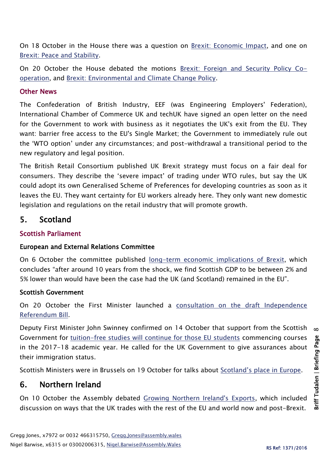On 18 October in the House there was a question on [Brexit: Economic Impact,](https://hansard.parliament.uk/Lords/2016-10-18/debates/073CCEF2-FB9F-4F35-89AF-93887089F659/BrexitEconomicImpact) and one on [Brexit: Peace and Stability.](https://hansard.parliament.uk/Lords/2016-10-18/debates/D0FA4D6D-A505-40BF-9880-C52D88E32FAD/BrexitPeaceAndStability)

On 20 October the House debated the motions [Brexit: Foreign and Security Policy Co](https://hansard.parliament.uk/Lords/2016-10-20/debates/CC098C1C-85C8-4457-ACF7-BF28707871D9/BrexitForeignAndSecurityPolicyCo-Operation)[operation,](https://hansard.parliament.uk/Lords/2016-10-20/debates/CC098C1C-85C8-4457-ACF7-BF28707871D9/BrexitForeignAndSecurityPolicyCo-Operation) and [Brexit: Environmental and Climate Change Policy.](https://hansard.parliament.uk/Lords/2016-10-20/debates/6E3813B7-9EEB-4EA0-86D3-3020CCEE52EB/BrexitEnvironmentalAndClimateChangePolicy)

### Other News

The Confederation of British Industry, EEF (was Engineering Employers' Federation), International Chamber of Commerce UK and techUK have signed an [open letter](http://www.cbi.org.uk/news/cbi-signs-open-letter-to-government-on-brexit-negotiations/) on the need for the Government to work with business as it negotiates the UK's exit from the EU. They want: barrier free access to the EU's Single Market; the Government to immediately rule out the 'WTO option' under any circumstances; and post-withdrawal a transitional period to the new regulatory and legal position.

The British Retail Consortium published [UK Brexit strategy must focus on a fair deal for](http://www.brc.org.uk/news/2016/brc-says-uk-brexit-strategy-must-focus-on-a-fair-deal-for-consumers)  [consumers](http://www.brc.org.uk/news/2016/brc-says-uk-brexit-strategy-must-focus-on-a-fair-deal-for-consumers). They describe the 'severe impact' of trading under WTO rules, but say the UK could adopt its own Generalised Scheme of Preferences for developing countries as soon as it leaves the EU. They want certainty for EU workers already here. They only want new domestic legislation and regulations on the retail industry that will promote growth.

# 5. Scotland

# Scottish Parliament

## European and External Relations Committee

On 6 October the committee published [long-term economic implications of Brexit,](http://www.parliament.scot/General%20Documents/Fraser_of_Allander_-_Brexit.pdf) which concludes "after around 10 years from the shock, we find Scottish GDP to be between 2% and 5% lower than would have been the case had the UK (and Scotland) remained in the EU".

## Scottish Government

On 20 October the First Minister launched a consultation on the [draft Independence](http://news.scotland.gov.uk/News/Protecting-Scotland-s-interests-2d69.aspx)  [Referendum Bill.](http://news.scotland.gov.uk/News/Protecting-Scotland-s-interests-2d69.aspx)

Deputy First Minister John Swinney confirmed on 14 October that support from the Scottish Government for [tuition-free studies will continue for those EU students](http://news.scotland.gov.uk/News/Swinney-demands-student-immigration-guarantee-2d27.aspx) commencing courses in the 2017-18 academic year. He called for the UK Government to give assurances about their immigration status.

Scottish Ministers were in Brussels on 19 October for talks about [Scotland's place in Europe](http://news.scotland.gov.uk/News/Scottish-Ministers-in-Brussels-2d47.aspx).

# 6. Northern Ireland

On 10 October the Assembly debated [Growing Northern Ireland's Exports,](http://aims.niassembly.gov.uk/officialreport/report.aspx?&eveDate=2016/10/10&docID=275447) which included discussion on ways that the UK trades with the rest of the EU and world now and post-Brexit.